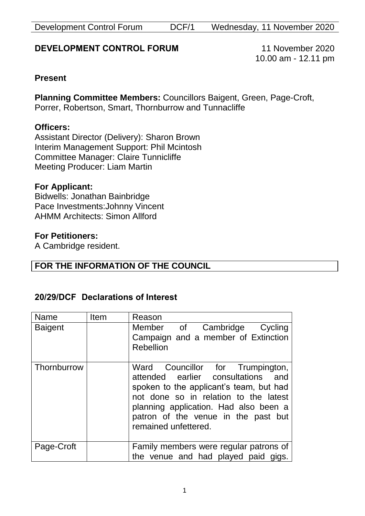Development Control Forum DCF/1 Wednesday, 11 November 2020

## **DEVELOPMENT CONTROL FORUM** 11 November 2020

10.00 am - 12.11 pm

#### **Present**

**Planning Committee Members:** Councillors Baigent, Green, Page-Croft, Porrer, Robertson, Smart, Thornburrow and Tunnacliffe

#### **Officers:**

Assistant Director (Delivery): Sharon Brown Interim Management Support: Phil Mcintosh Committee Manager: Claire Tunnicliffe Meeting Producer: Liam Martin

#### **For Applicant:**

Bidwells: Jonathan Bainbridge Pace Investments:Johnny Vincent AHMM Architects: Simon Allford

#### **For Petitioners:**

A Cambridge resident.

### **FOR THE INFORMATION OF THE COUNCIL**

#### **20/29/DCF Declarations of Interest**

| Name           | <b>Item</b> | Reason                                                                                                                                                                                                                                                             |
|----------------|-------------|--------------------------------------------------------------------------------------------------------------------------------------------------------------------------------------------------------------------------------------------------------------------|
| <b>Baigent</b> |             | Member of Cambridge Cycling<br>Campaign and a member of Extinction<br><b>Rebellion</b>                                                                                                                                                                             |
| Thornburrow    |             | Ward Councillor for Trumpington,<br>attended earlier consultations and<br>spoken to the applicant's team, but had<br>not done so in relation to the latest<br>planning application. Had also been a<br>patron of the venue in the past but<br>remained unfettered. |
| Page-Croft     |             | Family members were regular patrons of<br>the venue and had played paid gigs.                                                                                                                                                                                      |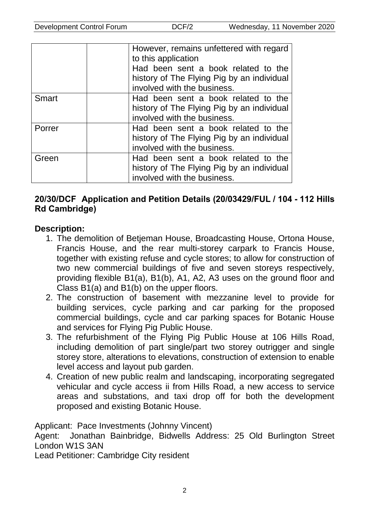|              | However, remains unfettered with regard<br>to this application<br>Had been sent a book related to the<br>history of The Flying Pig by an individual<br>involved with the business. |
|--------------|------------------------------------------------------------------------------------------------------------------------------------------------------------------------------------|
| <b>Smart</b> | Had been sent a book related to the<br>history of The Flying Pig by an individual<br>involved with the business.                                                                   |
| Porrer       | Had been sent a book related to the<br>history of The Flying Pig by an individual<br>involved with the business.                                                                   |
| Green        | Had been sent a book related to the<br>history of The Flying Pig by an individual<br>involved with the business.                                                                   |

### **20/30/DCF Application and Petition Details (20/03429/FUL / 104 - 112 Hills Rd Cambridge)**

#### **Description:**

- 1. The demolition of Betjeman House, Broadcasting House, Ortona House, Francis House, and the rear multi-storey carpark to Francis House, together with existing refuse and cycle stores; to allow for construction of two new commercial buildings of five and seven storeys respectively, providing flexible B1(a), B1(b), A1, A2, A3 uses on the ground floor and Class B1(a) and B1(b) on the upper floors.
- 2. The construction of basement with mezzanine level to provide for building services, cycle parking and car parking for the proposed commercial buildings, cycle and car parking spaces for Botanic House and services for Flying Pig Public House.
- 3. The refurbishment of the Flying Pig Public House at 106 Hills Road, including demolition of part single/part two storey outrigger and single storey store, alterations to elevations, construction of extension to enable level access and layout pub garden.
- 4. Creation of new public realm and landscaping, incorporating segregated vehicular and cycle access ii from Hills Road, a new access to service areas and substations, and taxi drop off for both the development proposed and existing Botanic House.

Applicant: Pace Investments (Johnny Vincent)

Agent: Jonathan Bainbridge, Bidwells Address: 25 Old Burlington Street London W1S 3AN

Lead Petitioner: Cambridge City resident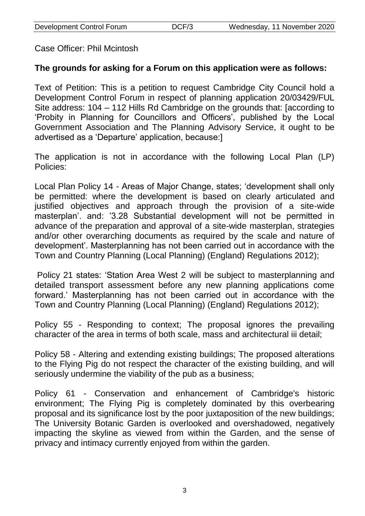Case Officer: Phil Mcintosh

# **The grounds for asking for a Forum on this application were as follows:**

Text of Petition: This is a petition to request Cambridge City Council hold a Development Control Forum in respect of planning application 20/03429/FUL Site address: 104 – 112 Hills Rd Cambridge on the grounds that: [according to 'Probity in Planning for Councillors and Officers', published by the Local Government Association and The Planning Advisory Service, it ought to be advertised as a 'Departure' application, because:]

The application is not in accordance with the following Local Plan (LP) Policies:

Local Plan Policy 14 - Areas of Major Change, states; 'development shall only be permitted: where the development is based on clearly articulated and justified objectives and approach through the provision of a site-wide masterplan'. and: '3.28 Substantial development will not be permitted in advance of the preparation and approval of a site-wide masterplan, strategies and/or other overarching documents as required by the scale and nature of development'. Masterplanning has not been carried out in accordance with the Town and Country Planning (Local Planning) (England) Regulations 2012);

Policy 21 states: 'Station Area West 2 will be subject to masterplanning and detailed transport assessment before any new planning applications come forward.' Masterplanning has not been carried out in accordance with the Town and Country Planning (Local Planning) (England) Regulations 2012);

Policy 55 - Responding to context; The proposal ignores the prevailing character of the area in terms of both scale, mass and architectural iii detail;

Policy 58 - Altering and extending existing buildings; The proposed alterations to the Flying Pig do not respect the character of the existing building, and will seriously undermine the viability of the pub as a business;

Policy 61 - Conservation and enhancement of Cambridge's historic environment; The Flying Pig is completely dominated by this overbearing proposal and its significance lost by the poor juxtaposition of the new buildings; The University Botanic Garden is overlooked and overshadowed, negatively impacting the skyline as viewed from within the Garden, and the sense of privacy and intimacy currently enjoyed from within the garden.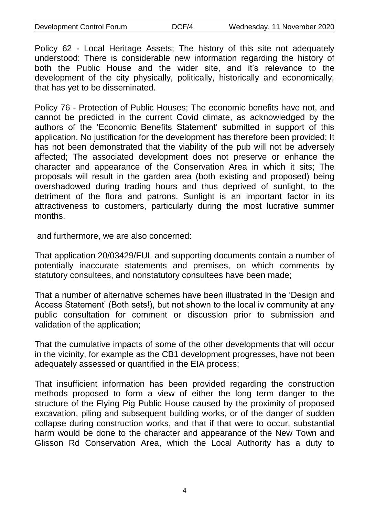Policy 62 - Local Heritage Assets; The history of this site not adequately understood: There is considerable new information regarding the history of both the Public House and the wider site, and it's relevance to the development of the city physically, politically, historically and economically, that has yet to be disseminated.

Policy 76 - Protection of Public Houses; The economic benefits have not, and cannot be predicted in the current Covid climate, as acknowledged by the authors of the 'Economic Benefits Statement' submitted in support of this application. No justification for the development has therefore been provided; It has not been demonstrated that the viability of the pub will not be adversely affected; The associated development does not preserve or enhance the character and appearance of the Conservation Area in which it sits; The proposals will result in the garden area (both existing and proposed) being overshadowed during trading hours and thus deprived of sunlight, to the detriment of the flora and patrons. Sunlight is an important factor in its attractiveness to customers, particularly during the most lucrative summer months.

and furthermore, we are also concerned:

That application 20/03429/FUL and supporting documents contain a number of potentially inaccurate statements and premises, on which comments by statutory consultees, and nonstatutory consultees have been made;

That a number of alternative schemes have been illustrated in the 'Design and Access Statement' (Both sets!), but not shown to the local iv community at any public consultation for comment or discussion prior to submission and validation of the application;

That the cumulative impacts of some of the other developments that will occur in the vicinity, for example as the CB1 development progresses, have not been adequately assessed or quantified in the EIA process;

That insufficient information has been provided regarding the construction methods proposed to form a view of either the long term danger to the structure of the Flying Pig Public House caused by the proximity of proposed excavation, piling and subsequent building works, or of the danger of sudden collapse during construction works, and that if that were to occur, substantial harm would be done to the character and appearance of the New Town and Glisson Rd Conservation Area, which the Local Authority has a duty to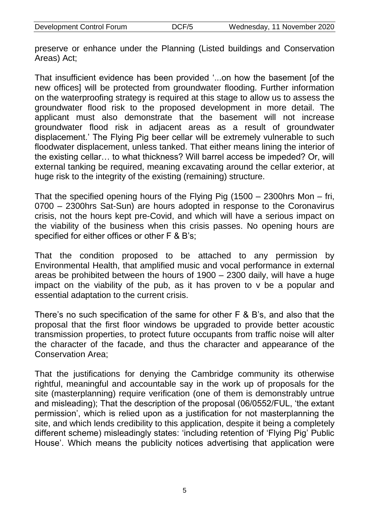preserve or enhance under the Planning (Listed buildings and Conservation Areas) Act;

That insufficient evidence has been provided '...on how the basement [of the new offices] will be protected from groundwater flooding. Further information on the waterproofing strategy is required at this stage to allow us to assess the groundwater flood risk to the proposed development in more detail. The applicant must also demonstrate that the basement will not increase groundwater flood risk in adjacent areas as a result of groundwater displacement.' The Flying Pig beer cellar will be extremely vulnerable to such floodwater displacement, unless tanked. That either means lining the interior of the existing cellar… to what thickness? Will barrel access be impeded? Or, will external tanking be required, meaning excavating around the cellar exterior, at huge risk to the integrity of the existing (remaining) structure.

That the specified opening hours of the Flying Pig (1500 – 2300hrs Mon – fri, 0700 – 2300hrs Sat-Sun) are hours adopted in response to the Coronavirus crisis, not the hours kept pre-Covid, and which will have a serious impact on the viability of the business when this crisis passes. No opening hours are specified for either offices or other F & B's;

That the condition proposed to be attached to any permission by Environmental Health, that amplified music and vocal performance in external areas be prohibited between the hours of 1900 – 2300 daily, will have a huge impact on the viability of the pub, as it has proven to v be a popular and essential adaptation to the current crisis.

There's no such specification of the same for other F & B's, and also that the proposal that the first floor windows be upgraded to provide better acoustic transmission properties, to protect future occupants from traffic noise will alter the character of the facade, and thus the character and appearance of the Conservation Area;

That the justifications for denying the Cambridge community its otherwise rightful, meaningful and accountable say in the work up of proposals for the site (masterplanning) require verification (one of them is demonstrably untrue and misleading); That the description of the proposal (06/0552/FUL, 'the extant permission', which is relied upon as a justification for not masterplanning the site, and which lends credibility to this application, despite it being a completely different scheme) misleadingly states: 'including retention of 'Flying Pig' Public House'. Which means the publicity notices advertising that application were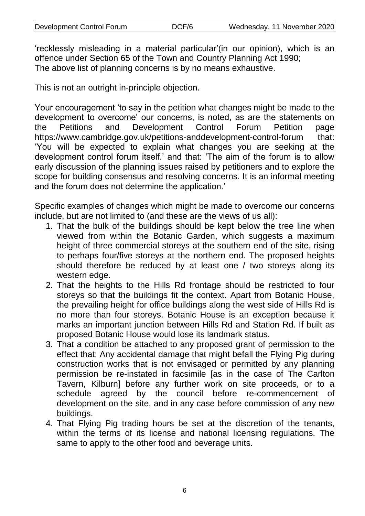'recklessly misleading in a material particular'(in our opinion), which is an offence under Section 65 of the Town and Country Planning Act 1990; The above list of planning concerns is by no means exhaustive.

This is not an outright in-principle objection.

Your encouragement 'to say in the petition what changes might be made to the development to overcome' our concerns, is noted, as are the statements on the Petitions and Development Control Forum Petition page https://www.cambridge.gov.uk/petitions-anddevelopment-control-forum that: 'You will be expected to explain what changes you are seeking at the development control forum itself.' and that: 'The aim of the forum is to allow early discussion of the planning issues raised by petitioners and to explore the scope for building consensus and resolving concerns. It is an informal meeting and the forum does not determine the application.'

Specific examples of changes which might be made to overcome our concerns include, but are not limited to (and these are the views of us all):

- 1. That the bulk of the buildings should be kept below the tree line when viewed from within the Botanic Garden, which suggests a maximum height of three commercial storeys at the southern end of the site, rising to perhaps four/five storeys at the northern end. The proposed heights should therefore be reduced by at least one / two storeys along its western edge.
- 2. That the heights to the Hills Rd frontage should be restricted to four storeys so that the buildings fit the context. Apart from Botanic House, the prevailing height for office buildings along the west side of Hills Rd is no more than four storeys. Botanic House is an exception because it marks an important junction between Hills Rd and Station Rd. If built as proposed Botanic House would lose its landmark status.
- 3. That a condition be attached to any proposed grant of permission to the effect that: Any accidental damage that might befall the Flying Pig during construction works that is not envisaged or permitted by any planning permission be re-instated in facsimile [as in the case of The Carlton Tavern, Kilburn] before any further work on site proceeds, or to a schedule agreed by the council before re-commencement of development on the site, and in any case before commission of any new buildings.
- 4. That Flying Pig trading hours be set at the discretion of the tenants, within the terms of its license and national licensing regulations. The same to apply to the other food and beverage units.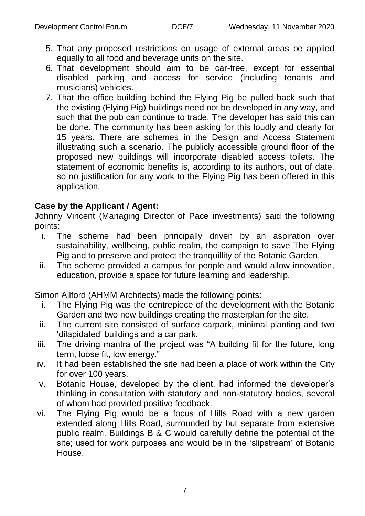- 5. That any proposed restrictions on usage of external areas be applied equally to all food and beverage units on the site.
- 6. That development should aim to be car-free, except for essential disabled parking and access for service (including tenants and musicians) vehicles.
- 7. That the office building behind the Flying Pig be pulled back such that the existing (Flying Pig) buildings need not be developed in any way, and such that the pub can continue to trade. The developer has said this can be done. The community has been asking for this loudly and clearly for 15 years. There are schemes in the Design and Access Statement illustrating such a scenario. The publicly accessible ground floor of the proposed new buildings will incorporate disabled access toilets. The statement of economic benefits is, according to its authors, out of date, so no justification for any work to the Flying Pig has been offered in this application.

### **Case by the Applicant / Agent:**

Johnny Vincent (Managing Director of Pace investments) said the following points:

- i. The scheme had been principally driven by an aspiration over sustainability, wellbeing, public realm, the campaign to save The Flying Pig and to preserve and protect the tranquillity of the Botanic Garden.
- ii. The scheme provided a campus for people and would allow innovation, education, provide a space for future learning and leadership.

Simon Allford (AHMM Architects) made the following points:

- i. The Flying Pig was the centrepiece of the development with the Botanic Garden and two new buildings creating the masterplan for the site.
- ii. The current site consisted of surface carpark, minimal planting and two 'dilapidated' buildings and a car park.
- iii. The driving mantra of the project was "A building fit for the future, long term, loose fit, low energy."
- iv. It had been established the site had been a place of work within the City for over 100 years.
- v. Botanic House, developed by the client, had informed the developer's thinking in consultation with statutory and non-statutory bodies, several of whom had provided positive feedback.
- vi. The Flying Pig would be a focus of Hills Road with a new garden extended along Hills Road, surrounded by but separate from extensive public realm. Buildings B & C would carefully define the potential of the site; used for work purposes and would be in the 'slipstream' of Botanic House.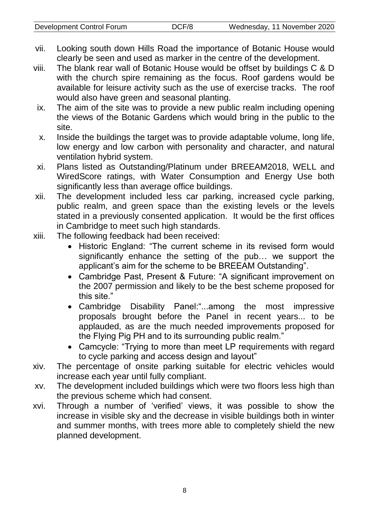- vii. Looking south down Hills Road the importance of Botanic House would clearly be seen and used as marker in the centre of the development.
- viii. The blank rear wall of Botanic House would be offset by buildings C & D with the church spire remaining as the focus. Roof gardens would be available for leisure activity such as the use of exercise tracks. The roof would also have green and seasonal planting.
	- ix. The aim of the site was to provide a new public realm including opening the views of the Botanic Gardens which would bring in the public to the site.
	- x. Inside the buildings the target was to provide adaptable volume, long life, low energy and low carbon with personality and character, and natural ventilation hybrid system.
	- xi. Plans listed as Outstanding/Platinum under BREEAM2018, WELL and WiredScore ratings, with Water Consumption and Energy Use both significantly less than average office buildings.
- xii. The development included less car parking, increased cycle parking, public realm, and green space than the existing levels or the levels stated in a previously consented application. It would be the first offices in Cambridge to meet such high standards.
- xiii. The following feedback had been received:
	- Historic England: "The current scheme in its revised form would significantly enhance the setting of the pub… we support the applicant's aim for the scheme to be BREEAM Outstanding".
	- Cambridge Past, Present & Future: "A significant improvement on the 2007 permission and likely to be the best scheme proposed for this site."
	- Cambridge Disability Panel:"...among the most impressive proposals brought before the Panel in recent years... to be applauded, as are the much needed improvements proposed for the Flying Pig PH and to its surrounding public realm."
	- Camcycle: "Trying to more than meet LP requirements with regard to cycle parking and access design and layout"
- xiv. The percentage of onsite parking suitable for electric vehicles would increase each year until fully compliant.
- xv. The development included buildings which were two floors less high than the previous scheme which had consent.
- xvi. Through a number of 'verified' views, it was possible to show the increase in visible sky and the decrease in visible buildings both in winter and summer months, with trees more able to completely shield the new planned development.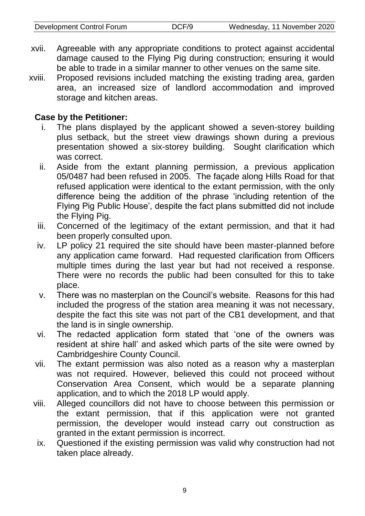- xvii. Agreeable with any appropriate conditions to protect against accidental damage caused to the Flying Pig during construction; ensuring it would be able to trade in a similar manner to other venues on the same site.
- xviii. Proposed revisions included matching the existing trading area, garden area, an increased size of landlord accommodation and improved storage and kitchen areas.

### **Case by the Petitioner:**

- i. The plans displayed by the applicant showed a seven-storey building plus setback, but the street view drawings shown during a previous presentation showed a six-storey building. Sought clarification which was correct.
- ii. Aside from the extant planning permission, a previous application 05/0487 had been refused in 2005. The façade along Hills Road for that refused application were identical to the extant permission, with the only difference being the addition of the phrase 'including retention of the Flying Pig Public House', despite the fact plans submitted did not include the Flying Pig.
- iii. Concerned of the legitimacy of the extant permission, and that it had been properly consulted upon.
- iv. LP policy 21 required the site should have been master-planned before any application came forward. Had requested clarification from Officers multiple times during the last year but had not received a response. There were no records the public had been consulted for this to take place.
- v. There was no masterplan on the Council's website. Reasons for this had included the progress of the station area meaning it was not necessary, despite the fact this site was not part of the CB1 development, and that the land is in single ownership.
- vi. The redacted application form stated that 'one of the owners was resident at shire hall' and asked which parts of the site were owned by Cambridgeshire County Council.
- vii. The extant permission was also noted as a reason why a masterplan was not required. However, believed this could not proceed without Conservation Area Consent, which would be a separate planning application, and to which the 2018 LP would apply.
- viii. Alleged councillors did not have to choose between this permission or the extant permission, that if this application were not granted permission, the developer would instead carry out construction as granted in the extant permission is incorrect.
- ix. Questioned if the existing permission was valid why construction had not taken place already.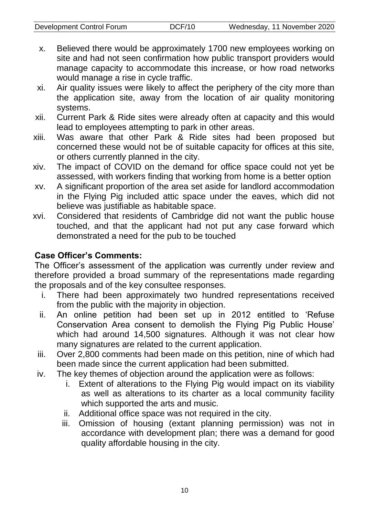- x. Believed there would be approximately 1700 new employees working on site and had not seen confirmation how public transport providers would manage capacity to accommodate this increase, or how road networks would manage a rise in cycle traffic.
- xi. Air quality issues were likely to affect the periphery of the city more than the application site, away from the location of air quality monitoring systems.
- xii. Current Park & Ride sites were already often at capacity and this would lead to employees attempting to park in other areas.
- xiii. Was aware that other Park & Ride sites had been proposed but concerned these would not be of suitable capacity for offices at this site, or others currently planned in the city.
- xiv. The impact of COVID on the demand for office space could not yet be assessed, with workers finding that working from home is a better option
- xv. A significant proportion of the area set aside for landlord accommodation in the Flying Pig included attic space under the eaves, which did not believe was justifiable as habitable space.
- xvi. Considered that residents of Cambridge did not want the public house touched, and that the applicant had not put any case forward which demonstrated a need for the pub to be touched

# **Case Officer's Comments:**

The Officer's assessment of the application was currently under review and therefore provided a broad summary of the representations made regarding the proposals and of the key consultee responses.

- i. There had been approximately two hundred representations received from the public with the majority in objection.
- ii. An online petition had been set up in 2012 entitled to 'Refuse Conservation Area consent to demolish the Flying Pig Public House' which had around 14,500 signatures. Although it was not clear how many signatures are related to the current application.
- iii. Over 2,800 comments had been made on this petition, nine of which had been made since the current application had been submitted.
- iv. The key themes of objection around the application were as follows:
	- i. Extent of alterations to the Flying Pig would impact on its viability as well as alterations to its charter as a local community facility which supported the arts and music.
	- ii. Additional office space was not required in the city.
	- iii. Omission of housing (extant planning permission) was not in accordance with development plan; there was a demand for good quality affordable housing in the city.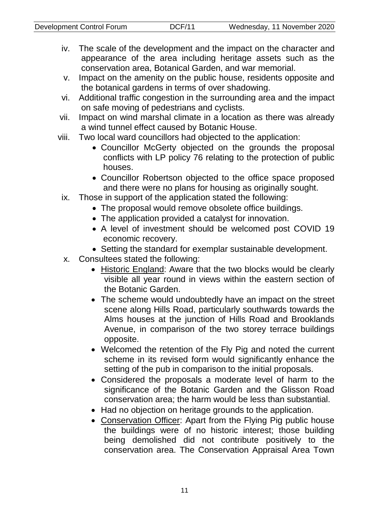- iv. The scale of the development and the impact on the character and appearance of the area including heritage assets such as the conservation area, Botanical Garden, and war memorial.
- v. Impact on the amenity on the public house, residents opposite and the botanical gardens in terms of over shadowing.
- vi. Additional traffic congestion in the surrounding area and the impact on safe moving of pedestrians and cyclists.
- vii. Impact on wind marshal climate in a location as there was already a wind tunnel effect caused by Botanic House.
- viii. Two local ward councillors had objected to the application:
	- Councillor McGerty objected on the grounds the proposal conflicts with LP policy 76 relating to the protection of public houses.
	- Councillor Robertson objected to the office space proposed and there were no plans for housing as originally sought.
	- ix. Those in support of the application stated the following:
		- The proposal would remove obsolete office buildings.
		- The application provided a catalyst for innovation.
		- A level of investment should be welcomed post COVID 19 economic recovery.
		- Setting the standard for exemplar sustainable development.
	- x. Consultees stated the following:
		- Historic England: Aware that the two blocks would be clearly visible all year round in views within the eastern section of the Botanic Garden.
		- The scheme would undoubtedly have an impact on the street scene along Hills Road, particularly southwards towards the Alms houses at the junction of Hills Road and Brooklands Avenue, in comparison of the two storey terrace buildings opposite.
		- Welcomed the retention of the Fly Pig and noted the current scheme in its revised form would significantly enhance the setting of the pub in comparison to the initial proposals.
		- Considered the proposals a moderate level of harm to the significance of the Botanic Garden and the Glisson Road conservation area; the harm would be less than substantial.
		- Had no objection on heritage grounds to the application.
		- Conservation Officer: Apart from the Flying Pig public house the buildings were of no historic interest; those building being demolished did not contribute positively to the conservation area. The Conservation Appraisal Area Town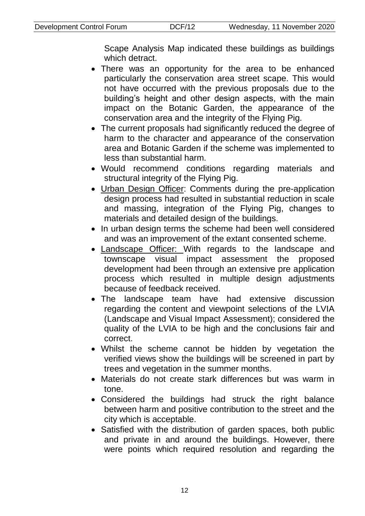Scape Analysis Map indicated these buildings as buildings which detract.

- There was an opportunity for the area to be enhanced particularly the conservation area street scape. This would not have occurred with the previous proposals due to the building's height and other design aspects, with the main impact on the Botanic Garden, the appearance of the conservation area and the integrity of the Flying Pig.
- The current proposals had significantly reduced the degree of harm to the character and appearance of the conservation area and Botanic Garden if the scheme was implemented to less than substantial harm.
- Would recommend conditions regarding materials and structural integrity of the Flying Pig.
- Urban Design Officer: Comments during the pre-application design process had resulted in substantial reduction in scale and massing, integration of the Flying Pig, changes to materials and detailed design of the buildings.
- In urban design terms the scheme had been well considered and was an improvement of the extant consented scheme.
- Landscape Officer: With regards to the landscape and townscape visual impact assessment the proposed development had been through an extensive pre application process which resulted in multiple design adjustments because of feedback received.
- The landscape team have had extensive discussion regarding the content and viewpoint selections of the LVIA (Landscape and Visual Impact Assessment); considered the quality of the LVIA to be high and the conclusions fair and correct.
- Whilst the scheme cannot be hidden by vegetation the verified views show the buildings will be screened in part by trees and vegetation in the summer months.
- Materials do not create stark differences but was warm in tone.
- Considered the buildings had struck the right balance between harm and positive contribution to the street and the city which is acceptable.
- Satisfied with the distribution of garden spaces, both public and private in and around the buildings. However, there were points which required resolution and regarding the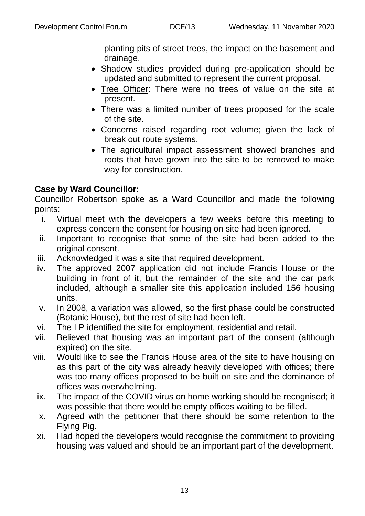planting pits of street trees, the impact on the basement and drainage.

- Shadow studies provided during pre-application should be updated and submitted to represent the current proposal.
- Tree Officer: There were no trees of value on the site at present.
- There was a limited number of trees proposed for the scale of the site.
- Concerns raised regarding root volume; given the lack of break out route systems.
- The agricultural impact assessment showed branches and roots that have grown into the site to be removed to make way for construction.

# **Case by Ward Councillor:**

Councillor Robertson spoke as a Ward Councillor and made the following points:

- i. Virtual meet with the developers a few weeks before this meeting to express concern the consent for housing on site had been ignored.
- ii. Important to recognise that some of the site had been added to the original consent.
- iii. Acknowledged it was a site that required development.
- iv. The approved 2007 application did not include Francis House or the building in front of it, but the remainder of the site and the car park included, although a smaller site this application included 156 housing units.
- v. In 2008, a variation was allowed, so the first phase could be constructed (Botanic House), but the rest of site had been left.
- vi. The LP identified the site for employment, residential and retail.
- vii. Believed that housing was an important part of the consent (although expired) on the site.
- viii. Would like to see the Francis House area of the site to have housing on as this part of the city was already heavily developed with offices; there was too many offices proposed to be built on site and the dominance of offices was overwhelming.
	- ix. The impact of the COVID virus on home working should be recognised; it was possible that there would be empty offices waiting to be filled.
	- x. Agreed with the petitioner that there should be some retention to the Flying Pig.
	- xi. Had hoped the developers would recognise the commitment to providing housing was valued and should be an important part of the development.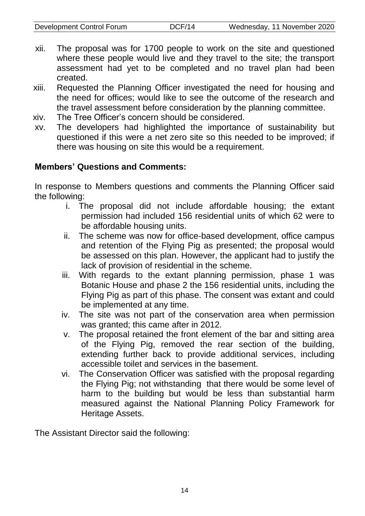- xii. The proposal was for 1700 people to work on the site and questioned where these people would live and they travel to the site; the transport assessment had yet to be completed and no travel plan had been created.
- xiii. Requested the Planning Officer investigated the need for housing and the need for offices; would like to see the outcome of the research and the travel assessment before consideration by the planning committee.
- xiv. The Tree Officer's concern should be considered.
- xv. The developers had highlighted the importance of sustainability but questioned if this were a net zero site so this needed to be improved; if there was housing on site this would be a requirement.

# **Members' Questions and Comments:**

In response to Members questions and comments the Planning Officer said the following:

- i. The proposal did not include affordable housing; the extant permission had included 156 residential units of which 62 were to be affordable housing units.
- ii. The scheme was now for office-based development, office campus and retention of the Flying Pig as presented; the proposal would be assessed on this plan. However, the applicant had to justify the lack of provision of residential in the scheme.
- iii. With regards to the extant planning permission, phase 1 was Botanic House and phase 2 the 156 residential units, including the Flying Pig as part of this phase. The consent was extant and could be implemented at any time.
- iv. The site was not part of the conservation area when permission was granted; this came after in 2012.
- v. The proposal retained the front element of the bar and sitting area of the Flying Pig, removed the rear section of the building, extending further back to provide additional services, including accessible toilet and services in the basement.
- vi. The Conservation Officer was satisfied with the proposal regarding the Flying Pig; not withstanding that there would be some level of harm to the building but would be less than substantial harm measured against the National Planning Policy Framework for Heritage Assets.

The Assistant Director said the following: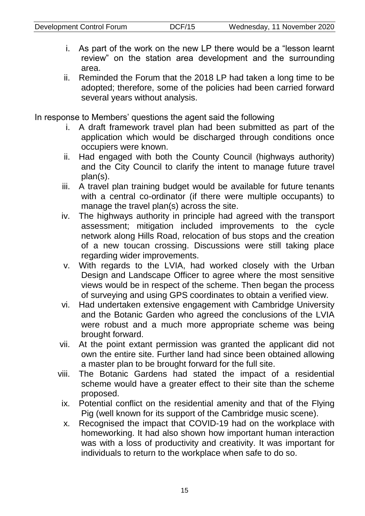- i. As part of the work on the new LP there would be a "lesson learnt review" on the station area development and the surrounding area.
- ii. Reminded the Forum that the 2018 LP had taken a long time to be adopted; therefore, some of the policies had been carried forward several years without analysis.

In response to Members' questions the agent said the following

- i. A draft framework travel plan had been submitted as part of the application which would be discharged through conditions once occupiers were known.
- ii. Had engaged with both the County Council (highways authority) and the City Council to clarify the intent to manage future travel plan(s).
- iii. A travel plan training budget would be available for future tenants with a central co-ordinator (if there were multiple occupants) to manage the travel plan(s) across the site.
- iv. The highways authority in principle had agreed with the transport assessment; mitigation included improvements to the cycle network along Hills Road, relocation of bus stops and the creation of a new toucan crossing. Discussions were still taking place regarding wider improvements.
- v. With regards to the LVIA, had worked closely with the Urban Design and Landscape Officer to agree where the most sensitive views would be in respect of the scheme. Then began the process of surveying and using GPS coordinates to obtain a verified view.
- vi. Had undertaken extensive engagement with Cambridge University and the Botanic Garden who agreed the conclusions of the LVIA were robust and a much more appropriate scheme was being brought forward.
- vii. At the point extant permission was granted the applicant did not own the entire site. Further land had since been obtained allowing a master plan to be brought forward for the full site.
- viii. The Botanic Gardens had stated the impact of a residential scheme would have a greater effect to their site than the scheme proposed.
	- ix. Potential conflict on the residential amenity and that of the Flying Pig (well known for its support of the Cambridge music scene).
	- x. Recognised the impact that COVID-19 had on the workplace with homeworking. It had also shown how important human interaction was with a loss of productivity and creativity. It was important for individuals to return to the workplace when safe to do so.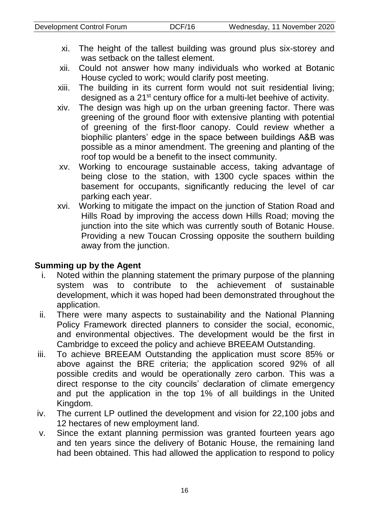- xi. The height of the tallest building was ground plus six-storey and was setback on the tallest element.
- xii. Could not answer how many individuals who worked at Botanic House cycled to work; would clarify post meeting.
- xiii. The building in its current form would not suit residential living; designed as a 21st century office for a multi-let beehive of activity.
- xiv. The design was high up on the urban greening factor. There was greening of the ground floor with extensive planting with potential of greening of the first-floor canopy. Could review whether a biophilic planters' edge in the space between buildings A&B was possible as a minor amendment. The greening and planting of the roof top would be a benefit to the insect community.
- xv. Working to encourage sustainable access, taking advantage of being close to the station, with 1300 cycle spaces within the basement for occupants, significantly reducing the level of car parking each year.
- xvi. Working to mitigate the impact on the junction of Station Road and Hills Road by improving the access down Hills Road; moving the junction into the site which was currently south of Botanic House. Providing a new Toucan Crossing opposite the southern building away from the junction.

#### **Summing up by the Agent**

- i. Noted within the planning statement the primary purpose of the planning system was to contribute to the achievement of sustainable development, which it was hoped had been demonstrated throughout the application.
- ii. There were many aspects to sustainability and the National Planning Policy Framework directed planners to consider the social, economic, and environmental objectives. The development would be the first in Cambridge to exceed the policy and achieve BREEAM Outstanding.
- iii. To achieve BREEAM Outstanding the application must score 85% or above against the BRE criteria; the application scored 92% of all possible credits and would be operationally zero carbon. This was a direct response to the city councils' declaration of climate emergency and put the application in the top 1% of all buildings in the United Kingdom.
- iv. The current LP outlined the development and vision for 22,100 jobs and 12 hectares of new employment land.
- v. Since the extant planning permission was granted fourteen years ago and ten years since the delivery of Botanic House, the remaining land had been obtained. This had allowed the application to respond to policy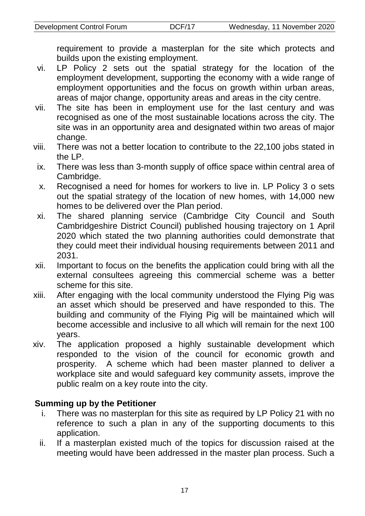requirement to provide a masterplan for the site which protects and builds upon the existing employment.

- vi. LP Policy 2 sets out the spatial strategy for the location of the employment development, supporting the economy with a wide range of employment opportunities and the focus on growth within urban areas, areas of major change, opportunity areas and areas in the city centre.
- vii. The site has been in employment use for the last century and was recognised as one of the most sustainable locations across the city. The site was in an opportunity area and designated within two areas of major change.
- viii. There was not a better location to contribute to the 22,100 jobs stated in the LP.
- ix. There was less than 3-month supply of office space within central area of Cambridge.
- x. Recognised a need for homes for workers to live in. LP Policy 3 o sets out the spatial strategy of the location of new homes, with 14,000 new homes to be delivered over the Plan period.
- xi. The shared planning service (Cambridge City Council and South Cambridgeshire District Council) published housing trajectory on 1 April 2020 which stated the two planning authorities could demonstrate that they could meet their individual housing requirements between 2011 and 2031.
- xii. Important to focus on the benefits the application could bring with all the external consultees agreeing this commercial scheme was a better scheme for this site.
- xiii. After engaging with the local community understood the Flying Pig was an asset which should be preserved and have responded to this. The building and community of the Flying Pig will be maintained which will become accessible and inclusive to all which will remain for the next 100 years.
- xiv. The application proposed a highly sustainable development which responded to the vision of the council for economic growth and prosperity. A scheme which had been master planned to deliver a workplace site and would safeguard key community assets, improve the public realm on a key route into the city.

### **Summing up by the Petitioner**

- i. There was no masterplan for this site as required by LP Policy 21 with no reference to such a plan in any of the supporting documents to this application.
- ii. If a masterplan existed much of the topics for discussion raised at the meeting would have been addressed in the master plan process. Such a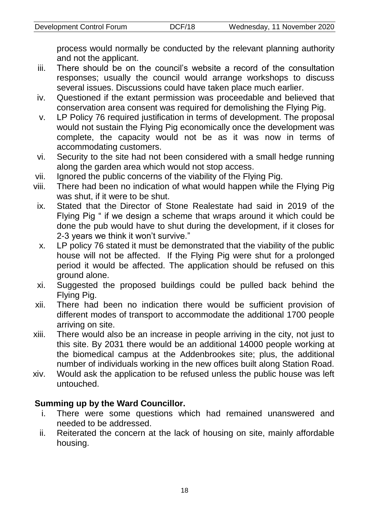process would normally be conducted by the relevant planning authority and not the applicant.

- iii. There should be on the council's website a record of the consultation responses; usually the council would arrange workshops to discuss several issues. Discussions could have taken place much earlier.
- iv. Questioned if the extant permission was proceedable and believed that conservation area consent was required for demolishing the Flying Pig.
- v. LP Policy 76 required justification in terms of development. The proposal would not sustain the Flying Pig economically once the development was complete, the capacity would not be as it was now in terms of accommodating customers.
- vi. Security to the site had not been considered with a small hedge running along the garden area which would not stop access.
- vii. Ignored the public concerns of the viability of the Flying Pig.
- viii. There had been no indication of what would happen while the Flying Pig was shut, if it were to be shut.
- ix. Stated that the Director of Stone Realestate had said in 2019 of the Flying Pig " if we design a scheme that wraps around it which could be done the pub would have to shut during the development, if it closes for 2-3 years we think it won't survive."
- x. LP policy 76 stated it must be demonstrated that the viability of the public house will not be affected. If the Flying Pig were shut for a prolonged period it would be affected. The application should be refused on this ground alone.
- xi. Suggested the proposed buildings could be pulled back behind the Flying Pig.
- xii. There had been no indication there would be sufficient provision of different modes of transport to accommodate the additional 1700 people arriving on site.
- xiii. There would also be an increase in people arriving in the city, not just to this site. By 2031 there would be an additional 14000 people working at the biomedical campus at the Addenbrookes site; plus, the additional number of individuals working in the new offices built along Station Road.
- xiv. Would ask the application to be refused unless the public house was left untouched.

### **Summing up by the Ward Councillor.**

- i. There were some questions which had remained unanswered and needed to be addressed.
- ii. Reiterated the concern at the lack of housing on site, mainly affordable housing.